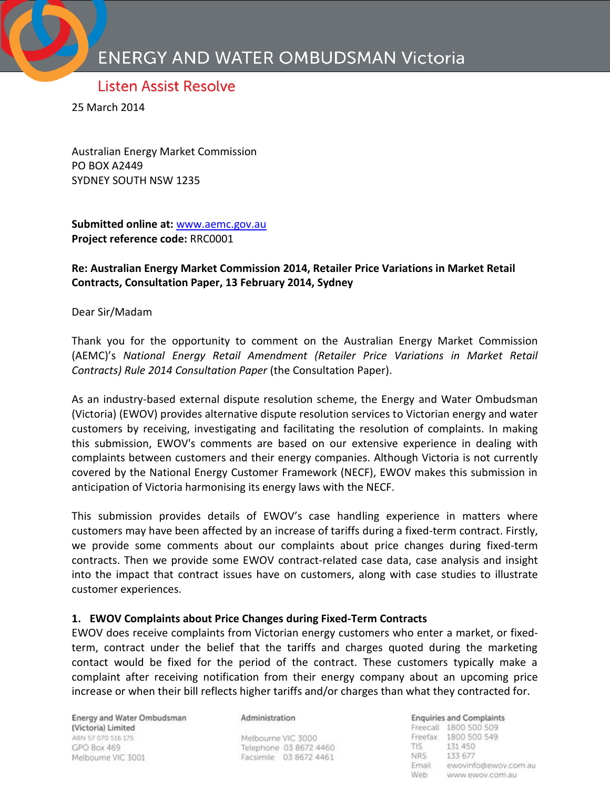# **Listen Assist Resolve**

25 March 2014

Australian Energy Market Commission PO BOX A2449 SYDNEY SOUTH NSW 1235

**Submitted online at:** [www.aemc.gov.au](http://www.aemc.gov.au/) **Project reference code:** RRC0001

## **Re: Australian Energy Market Commission 2014, Retailer Price Variations in Market Retail Contracts, Consultation Paper, 13 February 2014, Sydney**

Dear Sir/Madam

Thank you for the opportunity to comment on the Australian Energy Market Commission (AEMC)'s *National Energy Retail Amendment (Retailer Price Variations in Market Retail Contracts) Rule 2014 Consultation Paper* (the Consultation Paper).

As an industry-based external dispute resolution scheme, the Energy and Water Ombudsman (Victoria) (EWOV) provides alternative dispute resolution services to Victorian energy and water customers by receiving, investigating and facilitating the resolution of complaints. In making this submission, EWOV's comments are based on our extensive experience in dealing with complaints between customers and their energy companies. Although Victoria is not currently covered by the National Energy Customer Framework (NECF), EWOV makes this submission in anticipation of Victoria harmonising its energy laws with the NECF.

This submission provides details of EWOV's case handling experience in matters where customers may have been affected by an increase of tariffs during a fixed-term contract. Firstly, we provide some comments about our complaints about price changes during fixed-term contracts. Then we provide some EWOV contract-related case data, case analysis and insight into the impact that contract issues have on customers, along with case studies to illustrate customer experiences.

#### **1. EWOV Complaints about Price Changes during Fixed-Term Contracts**

EWOV does receive complaints from Victorian energy customers who enter a market, or fixedterm, contract under the belief that the tariffs and charges quoted during the marketing contact would be fixed for the period of the contract. These customers typically make a complaint after receiving notification from their energy company about an upcoming price increase or when their bill reflects higher tariffs and/or charges than what they contracted for.

Energy and Water Ombudsman (Victoria) Limited ABN 57 070 516 175 GPO Box 469 Melbourne VIC 3001

Administration

Melbourne VIC 3000 Telephone 03 8672 4460 Facsimile 03 8672 4461

**Enquiries and Complaints** Freecall 1800 500 509 Freefax 1800 500 549 131 450 TIS. NRS: 133 677 Email ewovinfo@ewov.com.au Web www.ewov.com.au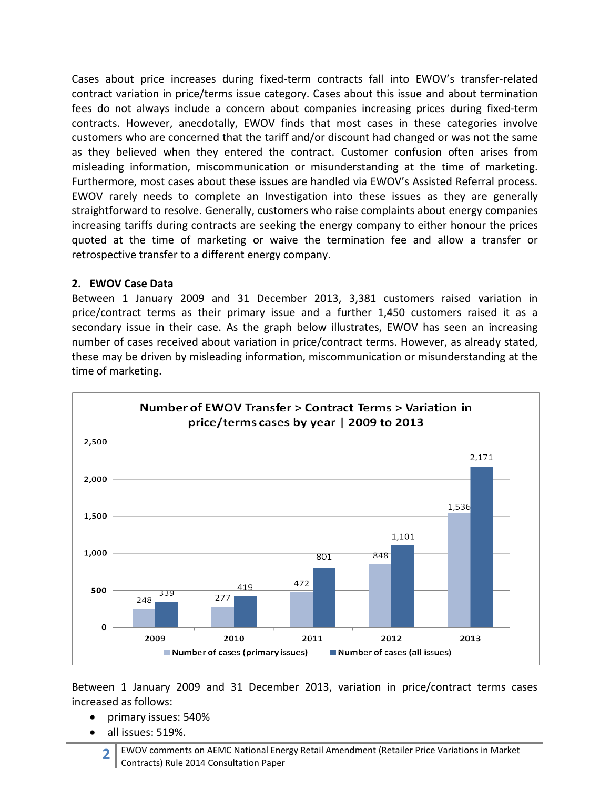Cases about price increases during fixed-term contracts fall into EWOV's transfer-related contract variation in price/terms issue category. Cases about this issue and about termination fees do not always include a concern about companies increasing prices during fixed-term contracts. However, anecdotally, EWOV finds that most cases in these categories involve customers who are concerned that the tariff and/or discount had changed or was not the same as they believed when they entered the contract. Customer confusion often arises from misleading information, miscommunication or misunderstanding at the time of marketing. Furthermore, most cases about these issues are handled via EWOV's Assisted Referral process. EWOV rarely needs to complete an Investigation into these issues as they are generally straightforward to resolve. Generally, customers who raise complaints about energy companies increasing tariffs during contracts are seeking the energy company to either honour the prices quoted at the time of marketing or waive the termination fee and allow a transfer or retrospective transfer to a different energy company.

## **2. EWOV Case Data**

Between 1 January 2009 and 31 December 2013, 3,381 customers raised variation in price/contract terms as their primary issue and a further 1,450 customers raised it as a secondary issue in their case. As the graph below illustrates, EWOV has seen an increasing number of cases received about variation in price/contract terms. However, as already stated, these may be driven by misleading information, miscommunication or misunderstanding at the time of marketing.



Between 1 January 2009 and 31 December 2013, variation in price/contract terms cases increased as follows:

- primary issues: 540%
- all issues: 519%.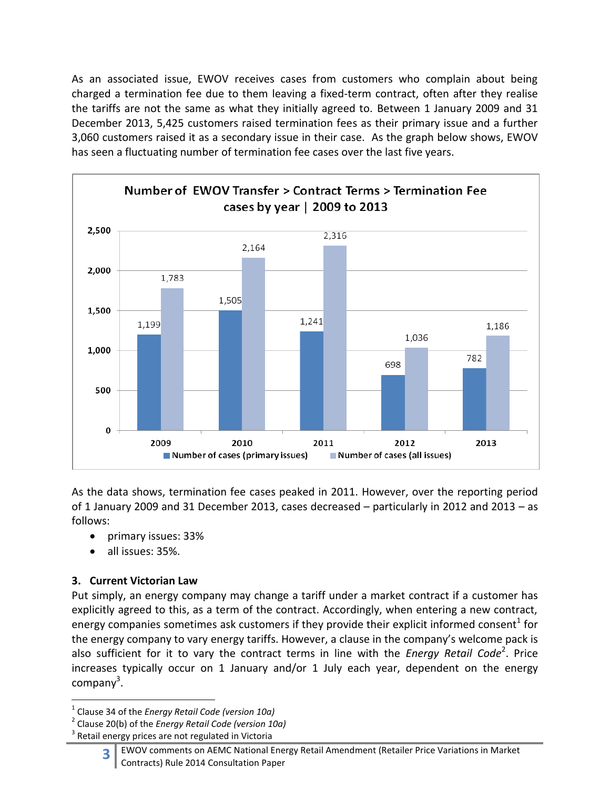As an associated issue, EWOV receives cases from customers who complain about being charged a termination fee due to them leaving a fixed-term contract, often after they realise the tariffs are not the same as what they initially agreed to. Between 1 January 2009 and 31 December 2013, 5,425 customers raised termination fees as their primary issue and a further 3,060 customers raised it as a secondary issue in their case. As the graph below shows, EWOV has seen a fluctuating number of termination fee cases over the last five years.



As the data shows, termination fee cases peaked in 2011. However, over the reporting period of 1 January 2009 and 31 December 2013, cases decreased – particularly in 2012 and 2013 – as follows:

- primary issues: 33%
- all issues: 35%.

# **3. Current Victorian Law**

 $\overline{a}$ 

Put simply, an energy company may change a tariff under a market contract if a customer has explicitly agreed to this, as a term of the contract. Accordingly, when entering a new contract, energy companies sometimes ask customers if they provide their explicit informed consent<sup>1</sup> for the energy company to vary energy tariffs. However, a clause in the company's welcome pack is also sufficient for it to vary the contract terms in line with the *Energy Retail Code*<sup>2</sup>. Price increases typically occur on 1 January and/or 1 July each year, dependent on the energy company<sup>3</sup>.

<sup>1</sup> Clause 34 of the *Energy Retail Code (version 10a)*

<sup>2</sup> Clause 20(b) of the *Energy Retail Code (version 10a)*

 $3$  Retail energy prices are not regulated in Victoria

**<sup>3</sup>** EWOV comments on AEMC National Energy Retail Amendment (Retailer Price Variations in Market Contracts) Rule 2014 Consultation Paper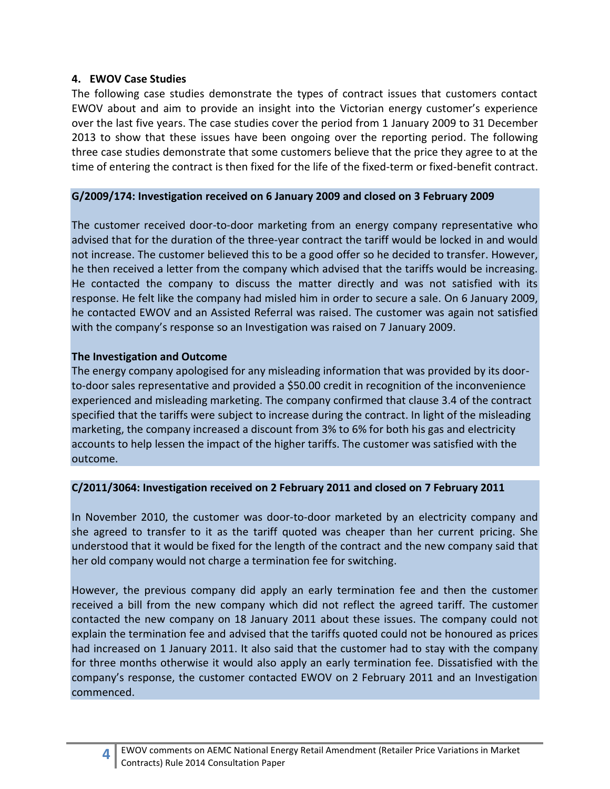### **4. EWOV Case Studies**

The following case studies demonstrate the types of contract issues that customers contact EWOV about and aim to provide an insight into the Victorian energy customer's experience over the last five years. The case studies cover the period from 1 January 2009 to 31 December 2013 to show that these issues have been ongoing over the reporting period. The following three case studies demonstrate that some customers believe that the price they agree to at the time of entering the contract is then fixed for the life of the fixed-term or fixed-benefit contract.

#### **G/2009/174: Investigation received on 6 January 2009 and closed on 3 February 2009**

The customer received door-to-door marketing from an energy company representative who advised that for the duration of the three-year contract the tariff would be locked in and would not increase. The customer believed this to be a good offer so he decided to transfer. However, he then received a letter from the company which advised that the tariffs would be increasing. He contacted the company to discuss the matter directly and was not satisfied with its response. He felt like the company had misled him in order to secure a sale. On 6 January 2009, he contacted EWOV and an Assisted Referral was raised. The customer was again not satisfied with the company's response so an Investigation was raised on 7 January 2009.

## **The Investigation and Outcome**

The energy company apologised for any misleading information that was provided by its doorto-door sales representative and provided a \$50.00 credit in recognition of the inconvenience experienced and misleading marketing. The company confirmed that clause 3.4 of the contract specified that the tariffs were subject to increase during the contract. In light of the misleading marketing, the company increased a discount from 3% to 6% for both his gas and electricity accounts to help lessen the impact of the higher tariffs. The customer was satisfied with the outcome.

## **C/2011/3064: Investigation received on 2 February 2011 and closed on 7 February 2011**

In November 2010, the customer was door-to-door marketed by an electricity company and she agreed to transfer to it as the tariff quoted was cheaper than her current pricing. She understood that it would be fixed for the length of the contract and the new company said that her old company would not charge a termination fee for switching.

However, the previous company did apply an early termination fee and then the customer received a bill from the new company which did not reflect the agreed tariff. The customer contacted the new company on 18 January 2011 about these issues. The company could not explain the termination fee and advised that the tariffs quoted could not be honoured as prices had increased on 1 January 2011. It also said that the customer had to stay with the company for three months otherwise it would also apply an early termination fee. Dissatisfied with the company's response, the customer contacted EWOV on 2 February 2011 and an Investigation commenced.